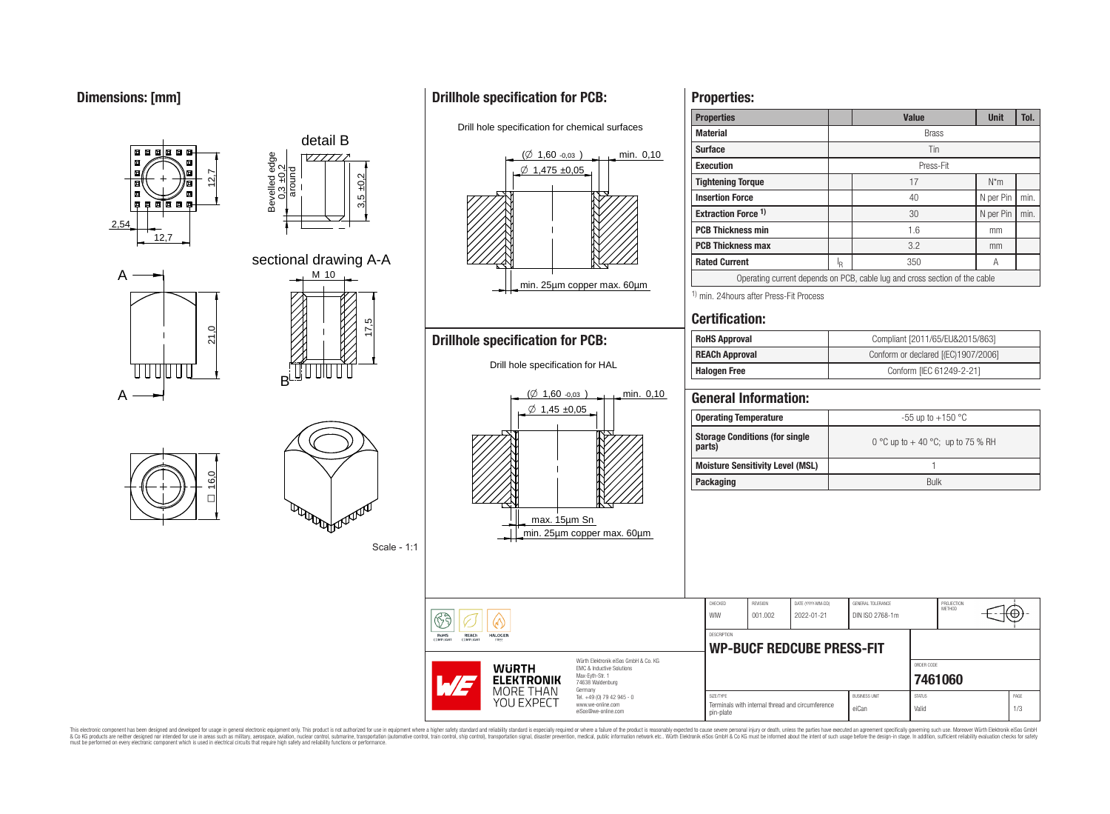## **Dimensions: [mm]**



 $\Box$ 



### Scale - 1:1

# **Drillhole specification for PCB:**

Drill hole specification for chemical surfaces



## **Properties:**

| <b>Properties</b>                                   |                                  |                   |                           |                                                                            | <b>Value</b> |                          | <b>Unit</b> | Tol. |  |  |  |
|-----------------------------------------------------|----------------------------------|-------------------|---------------------------|----------------------------------------------------------------------------|--------------|--------------------------|-------------|------|--|--|--|
| <b>Material</b>                                     |                                  |                   | <b>Brass</b>              |                                                                            |              |                          |             |      |  |  |  |
| <b>Surface</b>                                      |                                  |                   |                           | Tin                                                                        |              |                          |             |      |  |  |  |
| <b>Execution</b>                                    |                                  |                   | Press-Fit                 |                                                                            |              |                          |             |      |  |  |  |
| <b>Tightening Torque</b>                            |                                  |                   | 17                        | $N^*m$                                                                     |              |                          |             |      |  |  |  |
| <b>Insertion Force</b>                              |                                  |                   | 40                        |                                                                            |              |                          | N per Pin   | min. |  |  |  |
|                                                     | Extraction Force <sup>1)</sup>   |                   |                           |                                                                            | 30           |                          | N per Pin   | min. |  |  |  |
| <b>PCB Thickness min</b>                            |                                  |                   |                           |                                                                            | 1.6          |                          | mm          |      |  |  |  |
| <b>PCB Thickness max</b>                            |                                  |                   |                           |                                                                            | 3.2          |                          | mm          |      |  |  |  |
| <b>Rated Current</b>                                |                                  |                   | $\mathsf{I}_{\mathsf{R}}$ |                                                                            | 350          |                          | Α           |      |  |  |  |
|                                                     |                                  |                   |                           | Operating current depends on PCB, cable lug and cross section of the cable |              |                          |             |      |  |  |  |
| <sup>1)</sup> min. 24 hours after Press-Fit Process |                                  |                   |                           |                                                                            |              |                          |             |      |  |  |  |
|                                                     |                                  |                   |                           |                                                                            |              |                          |             |      |  |  |  |
| <b>Certification:</b>                               |                                  |                   |                           |                                                                            |              |                          |             |      |  |  |  |
| <b>RoHS Approval</b>                                |                                  |                   |                           | Compliant [2011/65/EU&2015/863]                                            |              |                          |             |      |  |  |  |
| <b>REACh Approval</b>                               |                                  |                   |                           | Conform or declared [(EC)1907/2006]                                        |              |                          |             |      |  |  |  |
| <b>Halogen Free</b>                                 |                                  |                   |                           |                                                                            |              | Conform [IEC 61249-2-21] |             |      |  |  |  |
| <b>Operating Temperature</b>                        |                                  |                   |                           | -55 up to +150 °C                                                          |              |                          |             |      |  |  |  |
| <b>Storage Conditions (for single</b><br>parts)     |                                  |                   |                           | 0 °C up to $+$ 40 °C; up to 75 % RH                                        |              |                          |             |      |  |  |  |
| <b>Moisture Sensitivity Level (MSL)</b>             |                                  |                   | 1                         |                                                                            |              |                          |             |      |  |  |  |
| <b>Packaging</b>                                    |                                  |                   |                           | <b>Bulk</b>                                                                |              |                          |             |      |  |  |  |
|                                                     |                                  |                   |                           |                                                                            |              |                          |             |      |  |  |  |
|                                                     |                                  |                   |                           |                                                                            |              |                          |             |      |  |  |  |
| CHECKED                                             | <b>REVISION</b>                  | DATE (YYYY-MM-DD) |                           | GENERAL TOLERANCE                                                          |              | PROJECTION<br>METHOD     |             |      |  |  |  |
| <b>WIW</b>                                          | 001.002                          | 2022-01-21        |                           | DIN ISO 2768-1m                                                            |              |                          |             |      |  |  |  |
| <b>DESCRIPTION</b>                                  |                                  |                   |                           |                                                                            |              |                          |             |      |  |  |  |
|                                                     | <b>WP-BUCF REDCUBE PRESS-FIT</b> |                   |                           |                                                                            |              |                          |             |      |  |  |  |

SIZE/TYPE BUSINESS UNIT STATUS PAGE

pin-plate eine mehmet and and cheminologie eiCan value valid valid valid value of 1/3

Terminals with internal thread and circumference

This electronic component has been designed and developed for usage in general electronic equipment only. This product is not authorized for subserved requipment where a higher selection equipment where a higher selection

YOU EXPECT

www.we-online.com eiSos@we-online.com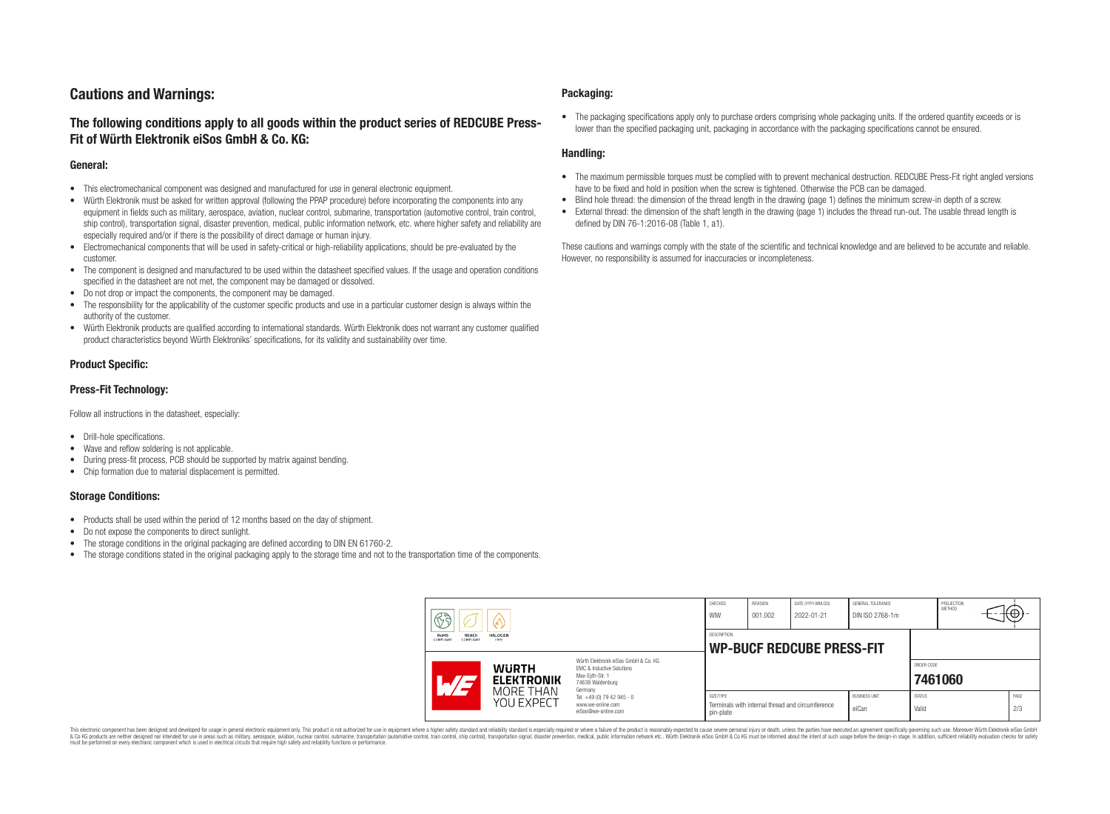## **Cautions and Warnings:**

### **The following conditions apply to all goods within the product series of REDCUBE Press-Fit of Würth Elektronik eiSos GmbH & Co. KG:**

#### **General:**

- This electromechanical component was designed and manufactured for use in general electronic equipment.
- Würth Elektronik must be asked for written approval (following the PPAP procedure) before incorporating the components into any equipment in fields such as military, aerospace, aviation, nuclear control, submarine, transportation (automotive control, train control, ship control), transportation signal, disaster prevention, medical, public information network, etc. where higher safety and reliability are especially required and/or if there is the possibility of direct damage or human injury.
- Electromechanical components that will be used in safety-critical or high-reliability applications, should be pre-evaluated by the customer.
- The component is designed and manufactured to be used within the datasheet specified values. If the usage and operation conditions specified in the datasheet are not met, the component may be damaged or dissolved.
- Do not drop or impact the components, the component may be damaged.
- The responsibility for the applicability of the customer specific products and use in a particular customer design is always within the authority of the customer.
- Würth Elektronik products are qualified according to international standards. Würth Elektronik does not warrant any customer qualified product characteristics beyond Würth Elektroniks' specifications, for its validity and sustainability over time.

### **Product Specific:**

### **Press-Fit Technology:**

Follow all instructions in the datasheet, especially:

- Drill-hole specifications.
- Wave and reflow soldering is not applicable.
- During press-fit process, PCB should be supported by matrix against bending.
- Chip formation due to material displacement is permitted.

### **Storage Conditions:**

- Products shall be used within the period of 12 months based on the day of shipment.
- Do not expose the components to direct sunlight.
- The storage conditions in the original packaging are defined according to DIN EN 61760-2.
- The storage conditions stated in the original packaging apply to the storage time and not to the transportation time of the components.

#### **Packaging:**

• The packaging specifications apply only to purchase orders comprising whole packaging units. If the ordered quantity exceeds or is lower than the specified packaging unit, packaging in accordance with the packaging specifications cannot be ensured.

### **Handling:**

- The maximum permissible torques must be complied with to prevent mechanical destruction. REDCUBE Press-Fit right angled versions have to be fixed and hold in position when the screw is tightened. Otherwise the PCB can be damaged.
- Blind hole thread: the dimension of the thread length in the drawing (page 1) defines the minimum screw-in depth of a screw.
- External thread: the dimension of the shaft length in the drawing (page 1) includes the thread run-out. The usable thread length is defined by DIN 76-1:2016-08 (Table 1, a1).

These cautions and warnings comply with the state of the scientific and technical knowledge and are believed to be accurate and reliable. However, no responsibility is assumed for inaccuracies or incompleteness.

| 63                                                                             |                                                              | CHECKED<br>WIW                                                                                                      | <b>REVISION</b><br>001.002                             | DATE (YYYY-MM-DD)<br>2022-01-21 | GENERAL TOLERANCE<br>DIN ISO 2768-1m             |                               | PROJECTION<br>METHOD   | ₩Ψ      |  |             |
|--------------------------------------------------------------------------------|--------------------------------------------------------------|---------------------------------------------------------------------------------------------------------------------|--------------------------------------------------------|---------------------------------|--------------------------------------------------|-------------------------------|------------------------|---------|--|-------------|
| <b>HALOGEN</b><br>RoHS<br><b>REACh</b><br>COMPLIANT<br><b>COMPLIAN</b><br>FREE |                                                              |                                                                                                                     | <b>DESCRIPTION</b><br><b>WP-BUCF REDCUBE PRESS-FIT</b> |                                 |                                                  |                               |                        |         |  |             |
| $\mathcal{A}$                                                                  | <b>WURTH</b><br><b>ELEKTRONIK</b><br>MORE THAN<br>YOU EXPECT | Würth Elektronik eiSos GmbH & Co. KG<br>EMC & Inductive Solutions<br>Max-Eyth-Str. 1<br>74638 Waldenburg<br>Germany |                                                        |                                 |                                                  |                               | ORDER CODE             | 7461060 |  |             |
|                                                                                |                                                              | Tel. +49 (0) 79 42 945 - 0<br>www.we-online.com<br>eiSos@we-online.com                                              | SIZE/TYPE<br>pin-plate                                 |                                 | Terminals with internal thread and circumference | <b>BUSINESS UNIT</b><br>eiCan | <b>STATUS</b><br>Valid |         |  | PAGE<br>2/3 |

This electronic component has been designed and developed for usage in general electronic equipment only. This product is not authorized for use in equipment where a higher safety standard and reliability standard si espec & Ook product a label and the membed of the seasuch as marked and as which such a membed and the such assume that income in the seasuch and the simulation and the such assume that include to the such a membed and the such